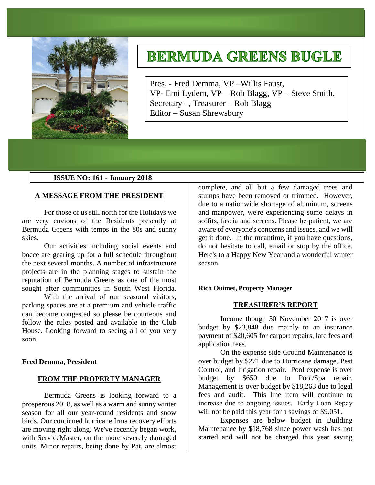

# **BERMUDA GREENS BUGLE**

Pres. - Fred Demma, VP –Willis Faust, VP- Emi Lydem, VP – Rob Blagg, VP – Steve Smith, Secretary –, Treasurer – Rob Blagg Editor – Susan Shrewsbury

## **ISSUE NO: 161 - January 2018**

## **A MESSAGE FROM THE PRESIDENT**

For those of us still north for the Holidays we are very envious of the Residents presently at Bermuda Greens with temps in the 80s and sunny skies.

Our activities including social events and bocce are gearing up for a full schedule throughout the next several months. A number of infrastructure projects are in the planning stages to sustain the reputation of Bermuda Greens as one of the most sought after communities in South West Florida.

With the arrival of our seasonal visitors, parking spaces are at a premium and vehicle traffic can become congested so please be courteous and follow the rules posted and available in the Club House. Looking forward to seeing all of you very soon.

## **Fred Demma, President**

## **FROM THE PROPERTY MANAGER**

Bermuda Greens is looking forward to a prosperous 2018, as well as a warm and sunny winter season for all our year-round residents and snow birds. Our continued hurricane Irma recovery efforts are moving right along. We've recently began work, with ServiceMaster, on the more severely damaged units. Minor repairs, being done by Pat, are almost

complete, and all but a few damaged trees and stumps have been removed or trimmed. However, due to a nationwide shortage of aluminum, screens and manpower, we're experiencing some delays in soffits, fascia and screens. Please be patient, we are aware of everyone's concerns and issues, and we will get it done. In the meantime, if you have questions, do not hesitate to call, email or stop by the office. Here's to a Happy New Year and a wonderful winter season.

## **Rich Ouimet, Property Manager**

## **TREASURER'S REPORT**

Income though 30 November 2017 is over budget by \$23,848 due mainly to an insurance payment of \$20,605 for carport repairs, late fees and application fees.

On the expense side Ground Maintenance is over budget by \$271 due to Hurricane damage, Pest Control, and Irrigation repair. Pool expense is over budget by \$650 due to Pool/Spa repair. Management is over budget by \$18,263 due to legal fees and audit. This line item will continue to increase due to ongoing issues. Early Loan Repay will not be paid this year for a savings of \$9.051.

Expenses are below budget in Building Maintenance by \$18,768 since power wash has not started and will not be charged this year saving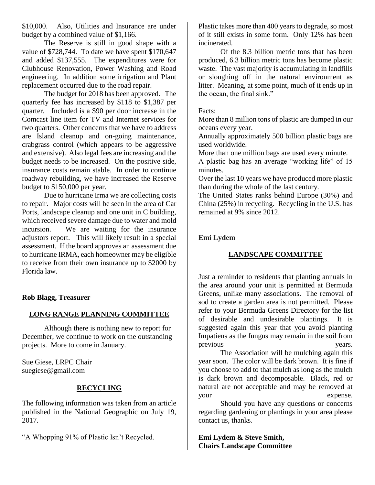\$10,000. Also, Utilities and Insurance are under budget by a combined value of \$1,166.

The Reserve is still in good shape with a value of \$728,744. To date we have spent \$170,647 and added \$137,555. The expenditures were for Clubhouse Renovation, Power Washing and Road engineering. In addition some irrigation and Plant replacement occurred due to the road repair.

The budget for 2018 has been approved. The quarterly fee has increased by \$118 to \$1,387 per quarter. Included is a \$90 per door increase in the Comcast line item for TV and Internet services for two quarters. Other concerns that we have to address are Island cleanup and on-going maintenance, crabgrass control (which appears to be aggressive and extensive). Also legal fees are increasing and the budget needs to be increased. On the positive side, insurance costs remain stable. In order to continue roadway rebuilding, we have increased the Reserve budget to \$150,000 per year.

Due to hurricane Irma we are collecting costs to repair. Major costs will be seen in the area of Car Ports, landscape cleanup and one unit in C building, which received severe damage due to water and mold incursion. We are waiting for the insurance adjustors report. This will likely result in a special assessment. If the board approves an assessment due to hurricane IRMA, each homeowner may be eligible to receive from their own insurance up to \$2000 by Florida law.

**Rob Blagg, Treasurer** 

# **LONG RANGE PLANNING COMMITTEE**

Although there is nothing new to report for December, we continue to work on the outstanding projects. More to come in January.

Sue Giese, LRPC Chair suegiese@gmail.com

# **RECYCLING**

The following information was taken from an article published in the National Geographic on July 19, 2017.

"A Whopping 91% of Plastic Isn't Recycled.

Plastic takes more than 400 years to degrade, so most of it still exists in some form. Only 12% has been incinerated.

Of the 8.3 billion metric tons that has been produced, 6.3 billion metric tons has become plastic waste. The vast majority is accumulating in landfills or sloughing off in the natural environment as litter. Meaning, at some point, much of it ends up in the ocean, the final sink."

# Facts:

More than 8 million tons of plastic are dumped in our oceans every year.

Annually approximately 500 billion plastic bags are used worldwide.

More than one million bags are used every minute.

A plastic bag has an average "working life" of 15 minutes.

Over the last 10 years we have produced more plastic than during the whole of the last century.

The United States ranks behind Europe (30%) and China (25%) in recycling. Recycling in the U.S. has remained at 9% since 2012.

# **Emi Lydem**

# **LANDSCAPE COMMITTEE**

Just a reminder to residents that planting annuals in the area around your unit is permitted at Bermuda Greens, unlike many associations. The removal of sod to create a garden area is not permitted. Please refer to your Bermuda Greens Directory for the list of desirable and undesirable plantings. It is suggested again this year that you avoid planting Impatiens as the fungus may remain in the soil from previous vears.

The Association will be mulching again this year soon. The color will be dark brown. It is fine if you choose to add to that mulch as long as the mulch is dark brown and decomposable. Black, red or natural are not acceptable and may be removed at your expense.

Should you have any questions or concerns regarding gardening or plantings in your area please contact us, thanks.

**Emi Lydem & Steve Smith, Chairs Landscape Committee**